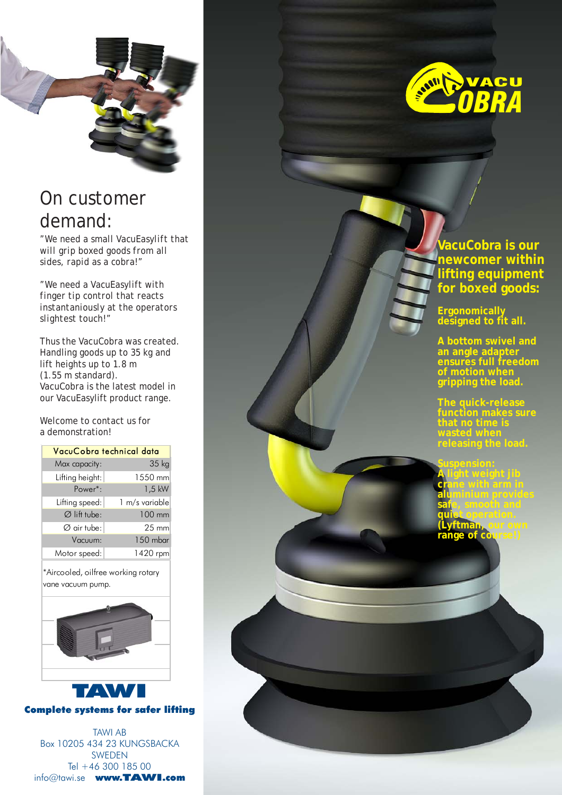

### On customer demand:

*"We need a small VacuEasylift that will grip boxed goods from all sides, rapid as a cobra!"*

*"We need a VacuEasylift with finger tip control that reacts instantaniously at the operators slightest touch!"*

Thus the VacuCobra was created. Handling goods up to 35 kg and lift heights up to 1.8 m (1.55 m standard). VacuCobra is the latest model in our VacuEasylift product range.

Welcome to contact us for a demonstration!

| VacuCobra technical data |                 |  |  |  |  |
|--------------------------|-----------------|--|--|--|--|
| Max capacity:            | 35 kg           |  |  |  |  |
| Lifting height:          | 1550 mm         |  |  |  |  |
| Power <sup>*</sup> :     | $1,5$ kW        |  |  |  |  |
| Lifting speed:           | 1 m/s variable  |  |  |  |  |
| $\varnothing$ lift tube: | 100 mm          |  |  |  |  |
| $\varnothing$ air tube:  | $25 \text{ mm}$ |  |  |  |  |
| Vacuum:                  | 150 mbar        |  |  |  |  |
| Motor speed:             | 1420 rpm        |  |  |  |  |

\*Aircooled, oilfree working rotary vane vacuum pump.



TAWI Complete systems for safer lifting

TAWI AB Box 10205 434 23 KUNGSBACKA SWEDEN Tel +46 300 185 00 info@tawi.se www.TAWI.com



**VacuCobra is our newcomer within lifting equipment for boxed goods:**

**Ergonomically designed to fit all.**

**A bottom swivel and an angle adapter ensures full freedom of motion when gripping the load.**

**The quick-release sure that no time is wasted when releasing the load.**

**Suspension: A light weight jib crane with arm in aluminium provides safe, smooth and quiet operation. (Lyftman, our own range of course!)**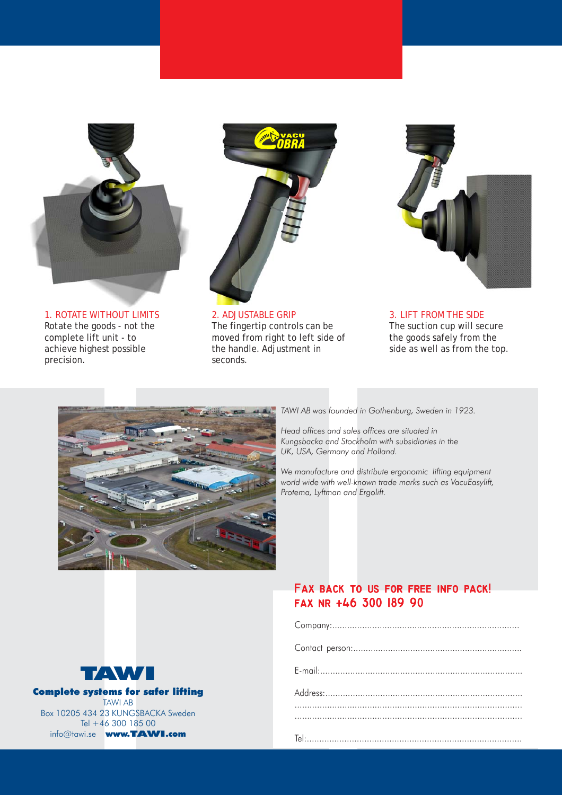

1. ROTATE WITHOUT LIMITS Rotate the goods - not the complete lift unit - to achieve highest possible precision.



2. ADJUSTABLE GRIP The fingertip controls can be moved from right to left side of the handle. Adjustment in seconds.



3. LIFT FROM THE SIDE The suction cup will secure the goods safely from the side as well as from the top.



*TAWI AB was founded in Gothenburg, Sweden in 1923.*

*Head offices and sales offices are situated in Kungsbacka and Stockholm with subsidiaries in the UK, USA, Germany and Holland.*

*We manufacture and distribute ergonomic lifting equipment world wide with well-known trade marks such as VacuEasylift, Protema, Lyftman and Ergolift.*



### **Fax back to us for free info pack! Fax back to us for info pack! fax nr +46 300 189 90**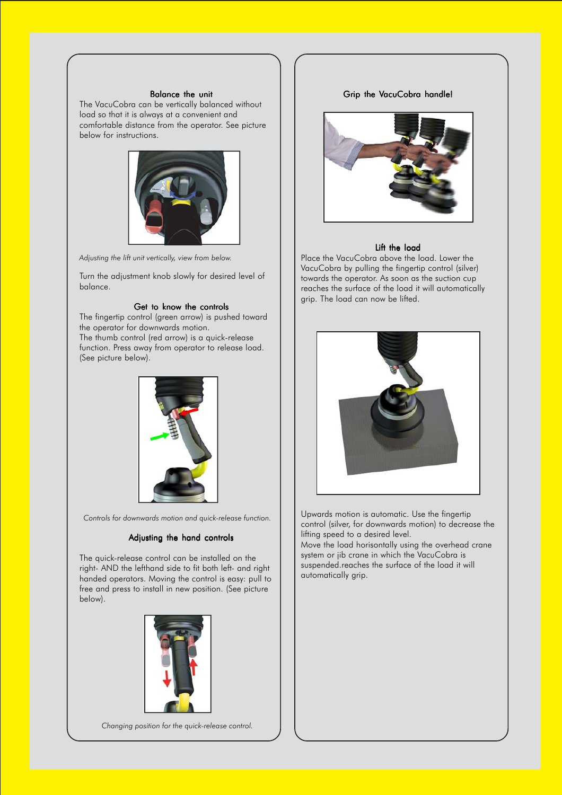#### Balance the unit

The VacuCobra can be vertically balanced without load so that it is always at a convenient and comfortable distance from the operator. See picture below for instructions.



*Adjusting the lift unit vertically, view from below.*

Turn the adjustment knob slowly for desired level of balance.

#### Get to know the controls

The fingertip control (green arrow) is pushed toward the operator for downwards motion. The thumb control (red arrow) is a quick-release function. Press away from operator to release load. (See picture below).



*Controls for downwards motion and quick-release function.*

#### Adjusting the hand controls

The quick-release control can be installed on the right- AND the lefthand side to fit both left- and right handed operators. Moving the control is easy: pull to free and press to install in new position. (See picture below).



Upwards motion is automatic. Use the fingertip control (silver, for downwards motion) to decrease the lifting speed to a desired level.

Move the load horisontally using the overhead crane system or jib crane in which the VacuCobra is suspended.reaches the surface of the load it will automatically grip.

#### Grip the VacuCobra handle!



#### Lift the load

Place the VacuCobra above the load. Lower the VacuCobra by pulling the fingertip control (silver) towards the operator. As soon as the suction cup reaches the surface of the load it will automatically grip. The load can now be lifted.



*Changing position for the quick-release control.*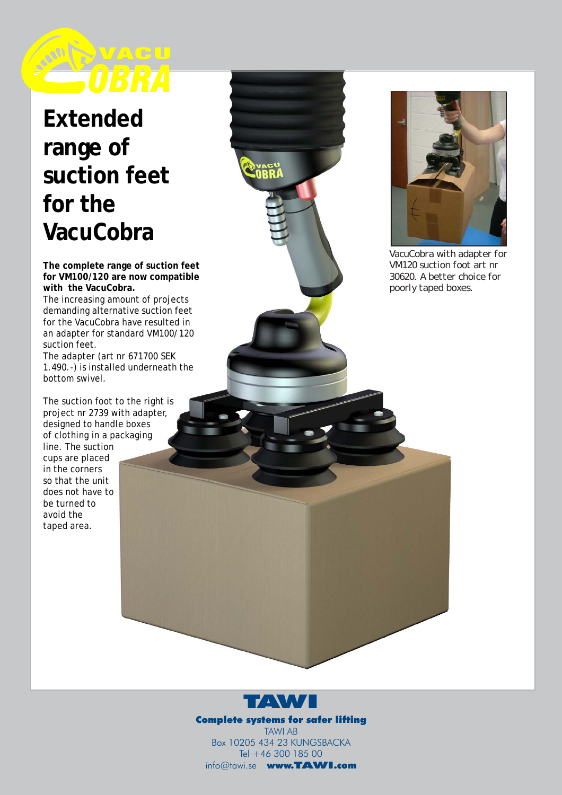

# **Extended range of suction feet for the VacuCobra**

**The complete range of suction feet for VM100/120 are now compatible with the VacuCobra.**

The increasing amount of projects demanding alternative suction feet for the VacuCobra have resulted in an adapter for standard VM100/120 suction feet.

The adapter (art nr 671700 SEK 1.490.-) is installed underneath the bottom swivel.

The suction foot to the right is project nr 2739 with adapter, designed to handle boxes of clothing in a packaging line. The suction cups are placed in the corners so that the unit does not have to be turned to avoid the taped area.



*VacuCobra with adapter for VM120 suction foot art nr 30620. A better choice for poorly taped boxes.*



Complete systems for safer lifting TAWI AB Box 10205 434 23 KUNGSBACKA Tel +46 300 185 00 info@tawi.se www.TAWI.com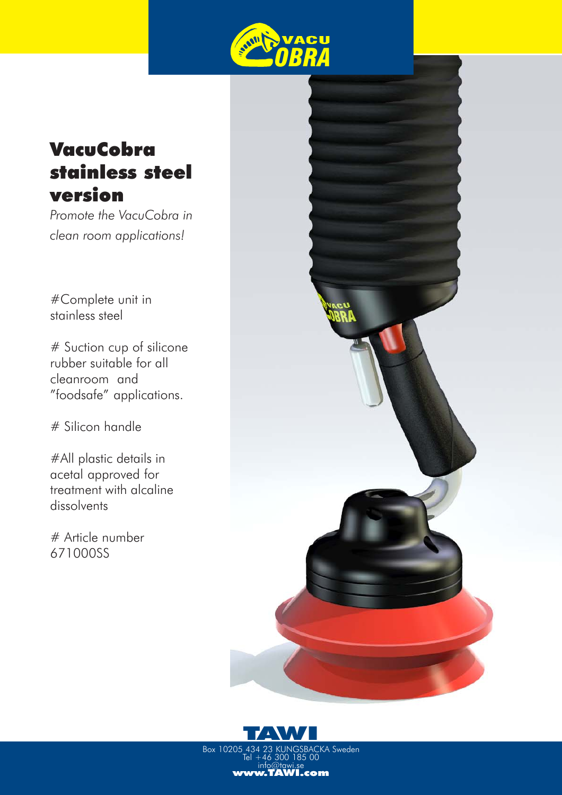

## **VacuCobra** stainless steel version

*Promote the VacuCobra in clean room applications!*

#Complete unit in stainless steel

# Suction cup of silicone rubber suitable for all cleanroom and "foodsafe" applications.

# Silicon handle

#All plastic details in acetal approved for treatment with alcaline dissolvents

# Article number 671000SS





Box 10205 434 23 KUNGSBACKA Sweden Tel +46 300 185 00 info@tawi.se<br>**www.TAWI.com**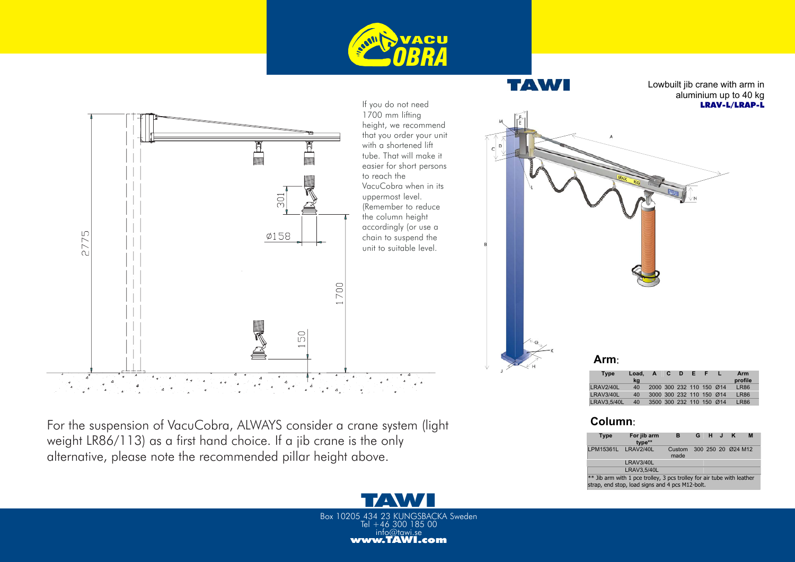



For the suspension of VacuCobra, ALWAYS consider a crane system (light weight LR86/113) as a first hand choice. If a jib crane is the only alternative, please note the recommended pillar height above.



| <b>Type</b> | Load.<br>ka | $\mathbf{A}$             | C D | - Er | ٦F. | Arm<br>profile |
|-------------|-------------|--------------------------|-----|------|-----|----------------|
| LRAV2/40L   | 40          | 2000 300 232 110 150 Ø14 |     |      |     | LR86           |
| LRAV3/40L   | 40          | 3000 300 232 110 150 Ø14 |     |      |     | <b>LR86</b>    |
| LRAV3.5/40L | 40          | 3500 300 232 110 150 Ø14 |     |      |     | <b>I R86</b>   |

Lowbuilt jib crane with arm in

LRAV-L/LRAP-L

TAW

| <b>Type</b>                                                              | For jib arm<br>type** | в              |  | G H J K |  |                    | M |  |
|--------------------------------------------------------------------------|-----------------------|----------------|--|---------|--|--------------------|---|--|
| LPM15361L LRAV2/40L                                                      |                       | Custom<br>made |  |         |  | 300 250 20 Ø24 M12 |   |  |
|                                                                          | LRAV3/40L             |                |  |         |  |                    |   |  |
|                                                                          | LRAV3.5/40L           |                |  |         |  |                    |   |  |
| $**$ lib arm with 1 nce trolley. 2 nce trolley for air tube with loather |                       |                |  |         |  |                    |   |  |